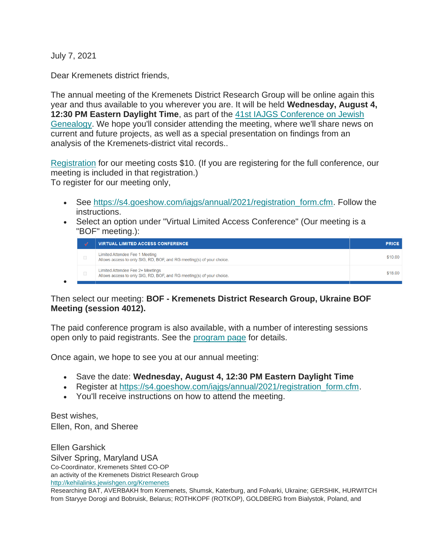July 7, 2021

•

Dear Kremenets district friends,

The annual meeting of the Kremenets District Research Group will be online again this year and thus available to you wherever you are. It will be held **Wednesday, August 4, 12:30 PM Eastern Daylight Time**, as part of the [41st IAJGS Conference on Jewish](https://s4.goeshow.com/iajgs/annual/2021/index.cfm)  [Genealogy.](https://s4.goeshow.com/iajgs/annual/2021/index.cfm) We hope you'll consider attending the meeting, where we'll share news on current and future projects, as well as a special presentation on findings from an analysis of the Kremenets-district vital records..

[Registration](https://s4.goeshow.com/iajgs/annual/2021/registration_overview.cfm) for our meeting costs \$10. (If you are registering for the full conference, our meeting is included in that registration.) To register for our meeting only,

- See [https://s4.goeshow.com/iajgs/annual/2021/registration\\_form.cfm.](https://s4.goeshow.com/iajgs/annual/2021/registration_form.cfm) Follow the instructions.
- Select an option under "Virtual Limited Access Conference" (Our meeting is a "BOF" meeting.):

|  | <b>VIRTUAL LIMITED ACCESS CONFERENCE</b>                                                                  | <b>PRICE</b> |
|--|-----------------------------------------------------------------------------------------------------------|--------------|
|  | Limited Attendee Fee 1 Meeting<br>Allows access to only SIG, RD, BOF, and RG meeting(s) of your choice.   | \$10.00      |
|  | Limited Attendee Fee 2+ Meetings<br>Allows access to only SIG, RD, BOF, and RG meeting(s) of your choice. | \$18.00      |

## Then select our meeting: **BOF - Kremenets District Research Group, Ukraine BOF Meeting (session 4012).**

The paid conference program is also available, with a number of interesting sessions open only to paid registrants. See the [program page](https://s4.goeshow.com/iajgs/annual/2021/program_schedule.cfm) for details.

Once again, we hope to see you at our annual meeting:

- Save the date: **Wednesday, August 4, 12:30 PM Eastern Daylight Time**
- Register at https://s4.goeshow.com/iajgs/annual/2021/registration form.cfm.
- You'll receive instructions on how to attend the meeting.

Best wishes, Ellen, Ron, and Sheree

Ellen Garshick Silver Spring, Maryland USA Co-Coordinator, Kremenets Shtetl CO-OP an activity of the Kremenets District Research Group <http://kehilalinks.jewishgen.org/Kremenets> Researching BAT, AVERBAKH from Kremenets, Shumsk, Katerburg, and Folvarki, Ukraine; GERSHIK, HURWITCH

from Staryye Dorogi and Bobruisk, Belarus; ROTHKOPF (ROTKOP), GOLDBERG from Bialystok, Poland, and